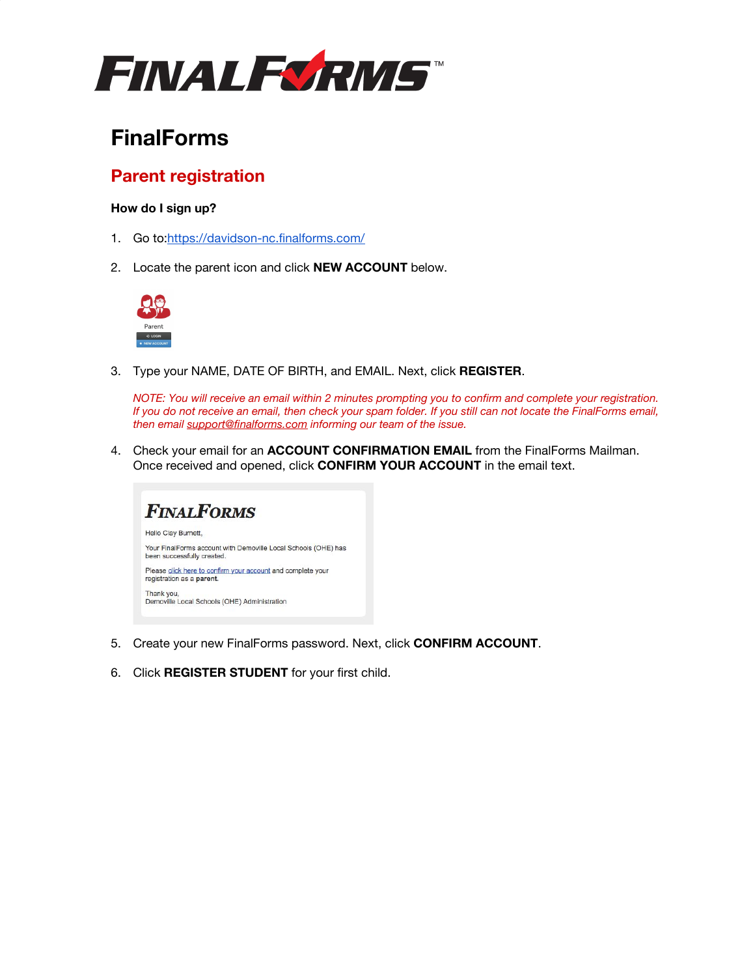

# **FinalForms**

## **Parent registration**

### **How do I sign up?**

- 1. Go to:<https://davidson-nc.finalforms.com/>
- 2. Locate the parent icon and click **NEW ACCOUNT** below.



3. Type your NAME, DATE OF BIRTH, and EMAIL. Next, click **REGISTER**.

*NOTE: You will receive an email within 2 minutes prompting you to confirm and complete your registration. If you do not receive an email, then check your spam folder. If you still can not locate the FinalForms email, then email [support@finalforms.com](mailto:support@finalforms.com) informing our team of the issue.*

4. Check your email for an **ACCOUNT CONFIRMATION EMAIL** from the FinalForms Mailman. Once received and opened, click **CONFIRM YOUR ACCOUNT** in the email text.



- 5. Create your new FinalForms password. Next, click **CONFIRM ACCOUNT**.
- 6. Click **REGISTER STUDENT** for your first child.